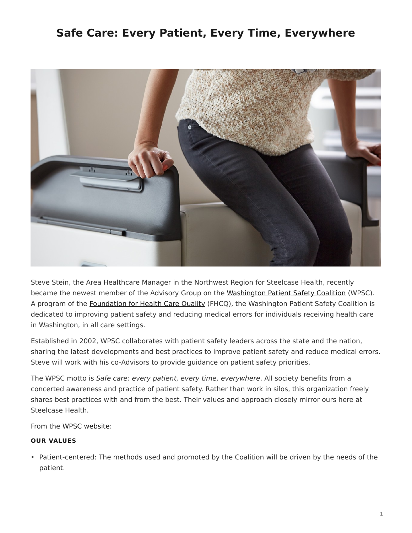# <span id="page-0-0"></span>**Safe Care: Every Patient, Every Time, Everywhere**



Steve Stein, the Area Healthcare Manager in the Northwest Region for Steelcase Health, recently became the newest member of the Advisory Group on the [Washington Patient Safety Coalition](http://www.wapatientsafety.org/) (WPSC). A program of the [Foundation for Health Care Quality](http://www.qualityhealth.org/) (FHCQ), the Washington Patient Safety Coalition is dedicated to improving patient safety and reducing medical errors for individuals receiving health care in Washington, in all care settings.

Established in 2002, WPSC collaborates with patient safety leaders across the state and the nation, sharing the latest developments and best practices to improve patient safety and reduce medical errors. Steve will work with his co-Advisors to provide guidance on patient safety priorities.

The WPSC motto is *Safe care: every patient, every time, everywhere*. All society benefits from a concerted awareness and practice of patient safety. Rather than work in silos, this organization freely shares best practices with and from the best. Their values and approach closely mirror ours here at Steelcase Health.

From the [WPSC website](http://www.wapatientsafety.org/):

# **OUR VALUES**

• Patient-centered: The methods used and promoted by the Coalition will be driven by the needs of the patient.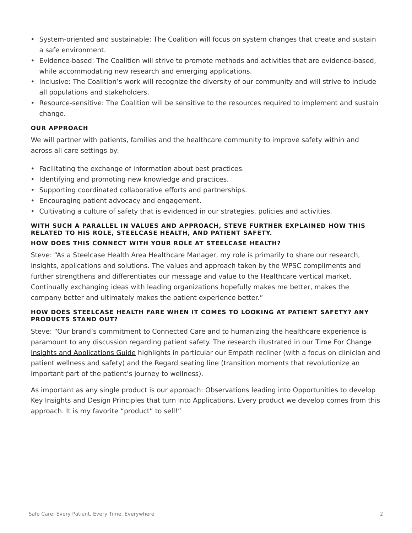- System-oriented and sustainable: The Coalition will focus on system changes that create and sustain a safe environment.
- Evidence-based: The Coalition will strive to promote methods and activities that are evidence-based, while accommodating new research and emerging applications.
- Inclusive: The Coalition's work will recognize the diversity of our community and will strive to include all populations and stakeholders.
- Resource-sensitive: The Coalition will be sensitive to the resources required to implement and sustain change.

## **OUR APPROACH**

We will partner with patients, families and the healthcare community to improve safety within and across all care settings by:

- Facilitating the exchange of information about best practices.
- Identifying and promoting new knowledge and practices.
- Supporting coordinated collaborative efforts and partnerships.
- Encouraging patient advocacy and engagement.
- Cultivating a culture of safety that is evidenced in our strategies, policies and activities.

#### **WITH SUCH A PARALLEL IN VALUES AND APPROACH, STEVE FURTHER EXPLAINED HOW THIS RELATED TO HIS ROLE, STEELCASE HEALTH, AND PATIENT SAFETY. HOW DOES THIS CONNECT WITH YOUR ROLE AT STEELCASE HEALTH?**

Steve: "As a Steelcase Health Area Healthcare Manager, my role is primarily to share our research, insights, applications and solutions. The values and approach taken by the WPSC compliments and further strengthens and differentiates our message and value to the Healthcare vertical market. Continually exchanging ideas with leading organizations hopefully makes me better, makes the company better and ultimately makes the patient experience better."

### **HOW DOES STEELCASE HEALTH FARE WHEN IT COMES TO LOOKING AT PATIENT SAFETY? ANY PRODUCTS STAND OUT?**

Steve: "Our brand's commitment to Connected Care and to humanizing the healthcare experience is paramount to any discussion regarding patient safety. The research illustrated in our [Time For Change](https://www.steelcase.com/resources/documents/steelcase-health-time-change-insights-applications-guide/) [Insights and Applications Guide](https://www.steelcase.com/resources/documents/steelcase-health-time-change-insights-applications-guide/) highlights in particular our Empath recliner (with a focus on clinician and patient wellness and safety) and the Regard seating line (transition moments that revolutionize an important part of the patient's journey to wellness).

As important as any single product is our approach: Observations leading into Opportunities to develop Key Insights and Design Principles that turn into Applications. Every product we develop comes from this approach. It is my favorite "product" to sell!"